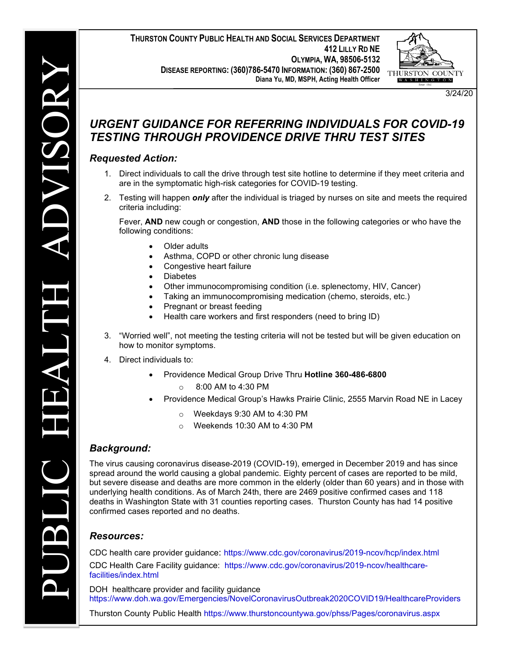**THURSTON COUNTY PUBLIC HEALTH AND SOCIAL SERVICES DEPARTMENT 412 LILLY RD NE OLYMPIA, WA, 98506-5132 DISEASE REPORTING: (360)786-5470 INFORMATION: (360) 867-2500 Diana Yu, MD, MSPH, Acting Health Officer**



3/24/20

# *URGENT GUIDANCE FOR REFERRING INDIVIDUALS FOR COVID-19 TESTING THROUGH PROVIDENCE DRIVE THRU TEST SITES*

## *Requested Action:*

- 1. Direct individuals to call the drive through test site hotline to determine if they meet criteria and are in the symptomatic high-risk categories for COVID-19 testing.
- 2. Testing will happen *only* after the individual is triaged by nurses on site and meets the required criteria including:

Fever, **AND** new cough or congestion, **AND** those in the following categories or who have the following conditions:

- **Older adults**
- Asthma, COPD or other chronic lung disease
- Congestive heart failure
- **Diabetes**
- Other immunocompromising condition (i.e. splenectomy, HIV, Cancer)
- Taking an immunocompromising medication (chemo, steroids, etc.)
- Pregnant or breast feeding
- Health care workers and first responders (need to bring ID)
- 3. "Worried well", not meeting the testing criteria will not be tested but will be given education on how to monitor symptoms.
- 4. Direct individuals to:
	- Providence Medical Group Drive Thru **Hotline 360-486-6800**
		- o 8:00 AM to 4:30 PM
	- Providence Medical Group's Hawks Prairie Clinic, 2555 Marvin Road NE in Lacey
		- o Weekdays 9:30 AM to 4:30 PM
		- $\circ$  Weekends 10:30 AM to 4:30 PM

### *Background:*

The virus causing coronavirus disease-2019 (COVID-19), emerged in December 2019 and has since spread around the world causing a global pandemic. Eighty percent of cases are reported to be mild, but severe disease and deaths are more common in the elderly (older than 60 years) and in those with underlying health conditions. As of March 24th, there are 2469 positive confirmed cases and 118 deaths in Washington State with 31 counties reporting cases. Thurston County has had 14 positive confirmed cases reported and no deaths.

### *Resources:*

CDC health care provider guidance: <https://www.cdc.gov/coronavirus/2019-ncov/hcp/index.html> CDC Health Care Facility guidance: [https://www.cdc.gov/coronavirus/2019-ncov/healthcare](https://www.cdc.gov/coronavirus/2019-ncov/healthcare-facilities/index.html)[facilities/index.html](https://www.cdc.gov/coronavirus/2019-ncov/healthcare-facilities/index.html)

DOH healthcare provider and facility guidance <https://www.doh.wa.gov/Emergencies/NovelCoronavirusOutbreak2020COVID19/HealthcareProviders>

Thurston County Public Health<https://www.thurstoncountywa.gov/phss/Pages/coronavirus.aspx>